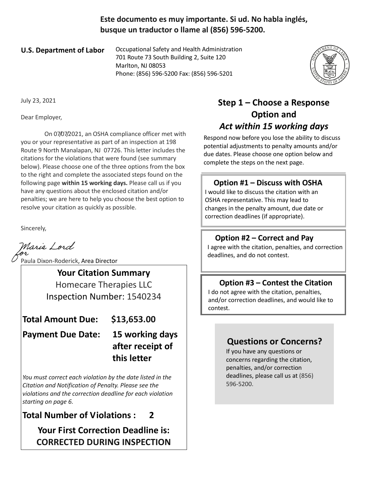**Este documento es muy importante. Si ud. No habla inglés, busque un traductor o llame al (856) 596-5200.**

**U.S. Department of Labor** Occupational Safety and Health Administration 701 Route 73 South Building 2, Suite 120 Marlton, NJ 08053 Phone: (856) 596-5200 Fax: (856) 596-5201



July 23, 2021

Dear Employer,

 On 07/07/2021, an OSHA compliance officer met with you or your representative as part of an inspection at 198 Route 9 North Manalapan, NJ 07726. This letter includes the citations for the violations that were found (see summary below). Please choose one of the three options from the box to the right and complete the associated steps found on the following page **within 15 working days.** Please call us if you have any questions about the enclosed citation and/or penalties; we are here to help you choose the best option to resolve your citation as quickly as possible.

Sincerely,

Marie Lord

Paula Dixon-Roderick, Area Director

**Your Citation Summary**

Homecare Therapies LLC Inspection Number: 1540234

**Total Amount Due: \$13,653.00**

**Payment Due Date: 15 working days** 

# **after receipt of this letter**

*You must correct each violation by the date listed in the Citation and Notification of Penalty. Please see the violations and the correction deadline for each violation starting on page 6.*

**Total Number of Violations : 2**

**Your First Correction Deadline is: CORRECTED DURING INSPECTION**

## **Step 1 – Choose a Response Option and**  *Act within 15 working days*

Respond now before you lose the ability to discuss potential adjustments to penalty amounts and/or due dates. Please choose one option below and complete the steps on the next page.

#### **Option #1 – Discuss with OSHA**

I would like to discuss the citation with an OSHA representative. This may lead to changes in the penalty amount, due date or correction deadlines (if appropriate).

#### **Option #2 – Correct and Pay**

I agree with the citation, penalties, and correction deadlines, and do not contest.

#### **Option #3 – Contest the Citation**

I do not agree with the citation, penalties, and/or correction deadlines, and would like to contest.

### **Questions or Concerns?**

If you have any questions or concerns regarding the citation, penalties, and/or correction deadlines, please call us at (856) 596-5200.